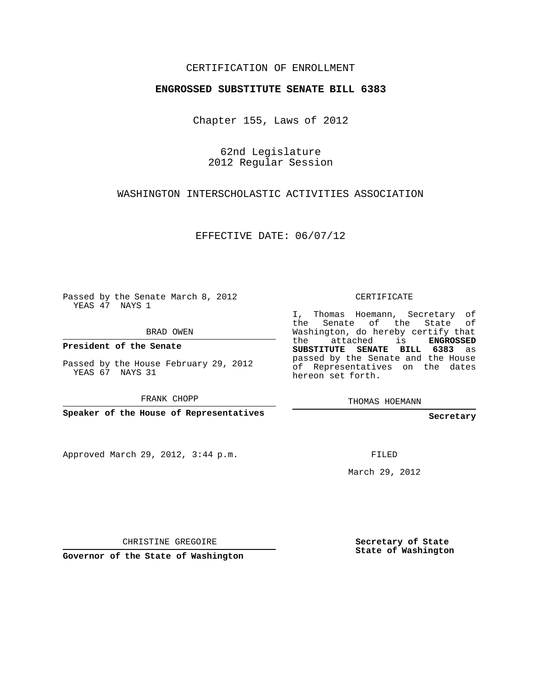### CERTIFICATION OF ENROLLMENT

### **ENGROSSED SUBSTITUTE SENATE BILL 6383**

Chapter 155, Laws of 2012

62nd Legislature 2012 Regular Session

## WASHINGTON INTERSCHOLASTIC ACTIVITIES ASSOCIATION

EFFECTIVE DATE: 06/07/12

Passed by the Senate March 8, 2012 YEAS 47 NAYS 1

BRAD OWEN

**President of the Senate**

Passed by the House February 29, 2012 YEAS 67 NAYS 31

FRANK CHOPP

**Speaker of the House of Representatives**

Approved March 29, 2012, 3:44 p.m.

CERTIFICATE

I, Thomas Hoemann, Secretary of the Senate of the State of Washington, do hereby certify that the attached is **ENGROSSED SUBSTITUTE SENATE BILL 6383** as passed by the Senate and the House of Representatives on the dates hereon set forth.

THOMAS HOEMANN

**Secretary**

FILED

March 29, 2012

CHRISTINE GREGOIRE

**Governor of the State of Washington**

**Secretary of State State of Washington**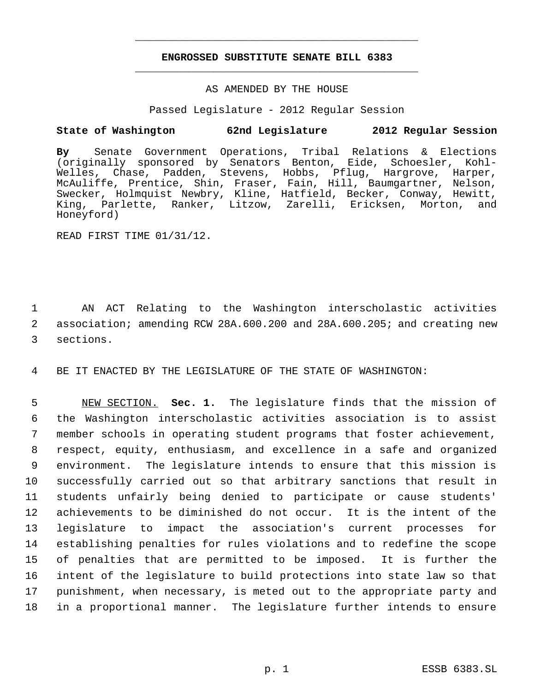# **ENGROSSED SUBSTITUTE SENATE BILL 6383** \_\_\_\_\_\_\_\_\_\_\_\_\_\_\_\_\_\_\_\_\_\_\_\_\_\_\_\_\_\_\_\_\_\_\_\_\_\_\_\_\_\_\_\_\_

\_\_\_\_\_\_\_\_\_\_\_\_\_\_\_\_\_\_\_\_\_\_\_\_\_\_\_\_\_\_\_\_\_\_\_\_\_\_\_\_\_\_\_\_\_

### AS AMENDED BY THE HOUSE

Passed Legislature - 2012 Regular Session

## **State of Washington 62nd Legislature 2012 Regular Session**

**By** Senate Government Operations, Tribal Relations & Elections (originally sponsored by Senators Benton, Eide, Schoesler, Kohl-Welles, Chase, Padden, Stevens, Hobbs, Pflug, Hargrove, Harper, McAuliffe, Prentice, Shin, Fraser, Fain, Hill, Baumgartner, Nelson, Swecker, Holmquist Newbry, Kline, Hatfield, Becker, Conway, Hewitt, King, Parlette, Ranker, Litzow, Zarelli, Ericksen, Morton, and Honeyford)

READ FIRST TIME 01/31/12.

 1 AN ACT Relating to the Washington interscholastic activities 2 association; amending RCW 28A.600.200 and 28A.600.205; and creating new 3 sections.

4 BE IT ENACTED BY THE LEGISLATURE OF THE STATE OF WASHINGTON:

 NEW SECTION. **Sec. 1.** The legislature finds that the mission of the Washington interscholastic activities association is to assist member schools in operating student programs that foster achievement, respect, equity, enthusiasm, and excellence in a safe and organized environment. The legislature intends to ensure that this mission is successfully carried out so that arbitrary sanctions that result in students unfairly being denied to participate or cause students' achievements to be diminished do not occur. It is the intent of the legislature to impact the association's current processes for establishing penalties for rules violations and to redefine the scope of penalties that are permitted to be imposed. It is further the intent of the legislature to build protections into state law so that punishment, when necessary, is meted out to the appropriate party and in a proportional manner. The legislature further intends to ensure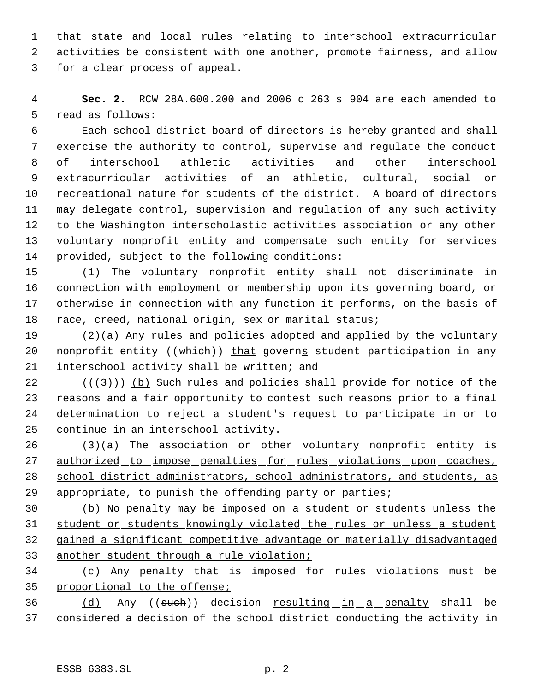that state and local rules relating to interschool extracurricular activities be consistent with one another, promote fairness, and allow for a clear process of appeal.

 **Sec. 2.** RCW 28A.600.200 and 2006 c 263 s 904 are each amended to read as follows:

 Each school district board of directors is hereby granted and shall exercise the authority to control, supervise and regulate the conduct of interschool athletic activities and other interschool extracurricular activities of an athletic, cultural, social or recreational nature for students of the district. A board of directors may delegate control, supervision and regulation of any such activity to the Washington interscholastic activities association or any other voluntary nonprofit entity and compensate such entity for services provided, subject to the following conditions:

 (1) The voluntary nonprofit entity shall not discriminate in connection with employment or membership upon its governing board, or otherwise in connection with any function it performs, on the basis of 18 race, creed, national origin, sex or marital status;

19  $(2)(a)$  Any rules and policies adopted and applied by the voluntary 20 nonprofit entity ((which)) that governs student participation in any interschool activity shall be written; and

22 ( $(\langle 3 \rangle)$ ) (b) Such rules and policies shall provide for notice of the reasons and a fair opportunity to contest such reasons prior to a final determination to reject a student's request to participate in or to continue in an interschool activity.

 (3)(a) The association or other voluntary nonprofit entity is 27 authorized to impose penalties for rules violations upon coaches, 28 school district administrators, school administrators, and students, as 29 appropriate, to punish the offending party or parties;

 (b) No penalty may be imposed on a student or students unless the student or students knowingly violated the rules or unless a student gained a significant competitive advantage or materially disadvantaged 33 another student through a rule violation;

 (c) Any penalty that is imposed for rules violations must be proportional to the offense;

36 (d) Any ((such)) decision resulting in a penalty shall be considered a decision of the school district conducting the activity in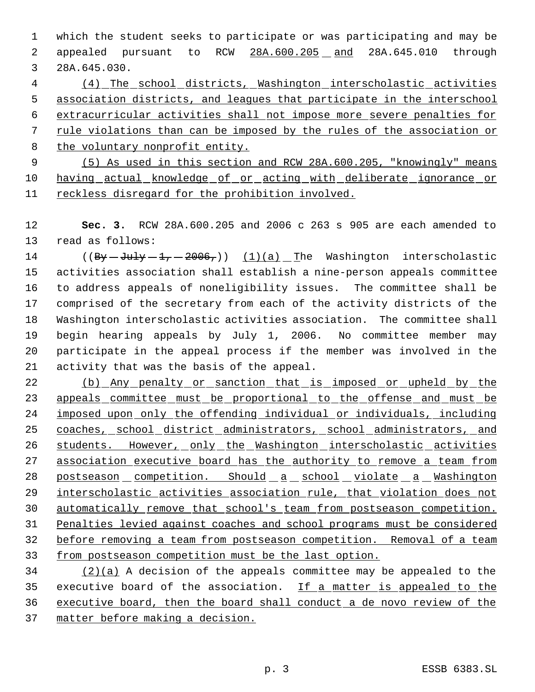which the student seeks to participate or was participating and may be 2 appealed pursuant to RCW 28A.600.205 and 28A.645.010 through 28A.645.030.

 (4) The school districts, Washington interscholastic activities association districts, and leagues that participate in the interschool extracurricular activities shall not impose more severe penalties for rule violations than can be imposed by the rules of the association or the voluntary nonprofit entity.

 (5) As used in this section and RCW 28A.600.205, "knowingly" means 10 having actual knowledge of or acting with deliberate ignorance or reckless disregard for the prohibition involved.

 **Sec. 3.** RCW 28A.600.205 and 2006 c 263 s 905 are each amended to read as follows:

14 ( $(By - Ju1y - 1, -2006,$ )) (1)(a) The Washington interscholastic activities association shall establish a nine-person appeals committee to address appeals of noneligibility issues. The committee shall be comprised of the secretary from each of the activity districts of the Washington interscholastic activities association. The committee shall begin hearing appeals by July 1, 2006. No committee member may participate in the appeal process if the member was involved in the activity that was the basis of the appeal.

22 (b) Any penalty or sanction that is imposed or upheld by the 23 appeals committee must be proportional to the offense and must be imposed upon only the offending individual or individuals, including 25 coaches, school district administrators, school administrators, and 26 students. However, only the Washington interscholastic activities association executive board has the authority to remove a team from 28 postseason competition. Should a school violate a Washington interscholastic activities association rule, that violation does not automatically remove that school's team from postseason competition. Penalties levied against coaches and school programs must be considered before removing a team from postseason competition. Removal of a team from postseason competition must be the last option.

 $(2)(a)$  A decision of the appeals committee may be appealed to the executive board of the association. If a matter is appealed to the executive board, then the board shall conduct a de novo review of the matter before making a decision.